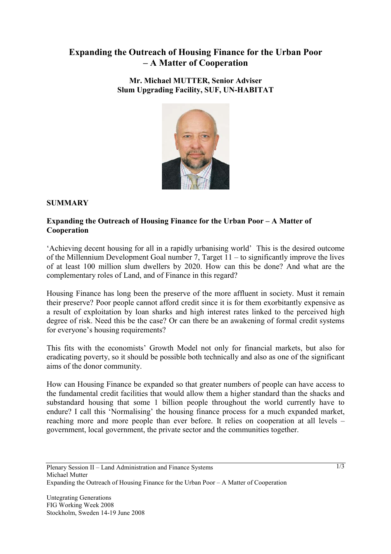# **Expanding the Outreach of Housing Finance for the Urban Poor – A Matter of Cooperation**

**Mr. Michael MUTTER, Senior Adviser Slum Upgrading Facility, SUF, UN-HABITAT** 



### **SUMMARY**

#### **Expanding the Outreach of Housing Finance for the Urban Poor – A Matter of Cooperation**

'Achieving decent housing for all in a rapidly urbanising world' This is the desired outcome of the Millennium Development Goal number 7, Target 11 – to significantly improve the lives of at least 100 million slum dwellers by 2020. How can this be done? And what are the complementary roles of Land, and of Finance in this regard?

Housing Finance has long been the preserve of the more affluent in society. Must it remain their preserve? Poor people cannot afford credit since it is for them exorbitantly expensive as a result of exploitation by loan sharks and high interest rates linked to the perceived high degree of risk. Need this be the case? Or can there be an awakening of formal credit systems for everyone's housing requirements?

This fits with the economists' Growth Model not only for financial markets, but also for eradicating poverty, so it should be possible both technically and also as one of the significant aims of the donor community.

How can Housing Finance be expanded so that greater numbers of people can have access to the fundamental credit facilities that would allow them a higher standard than the shacks and substandard housing that some 1 billion people throughout the world currently have to endure? I call this 'Normalising' the housing finance process for a much expanded market, reaching more and more people than ever before. It relies on cooperation at all levels – government, local government, the private sector and the communities together.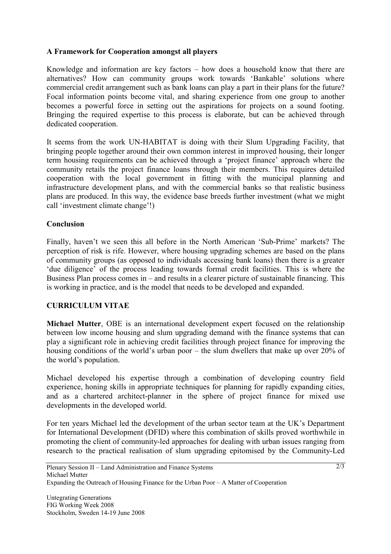### **A Framework for Cooperation amongst all players**

Knowledge and information are key factors – how does a household know that there are alternatives? How can community groups work towards 'Bankable' solutions where commercial credit arrangement such as bank loans can play a part in their plans for the future? Focal information points become vital, and sharing experience from one group to another becomes a powerful force in setting out the aspirations for projects on a sound footing. Bringing the required expertise to this process is elaborate, but can be achieved through dedicated cooperation.

It seems from the work UN-HABITAT is doing with their Slum Upgrading Facility, that bringing people together around their own common interest in improved housing, their longer term housing requirements can be achieved through a 'project finance' approach where the community retails the project finance loans through their members. This requires detailed cooperation with the local government in fitting with the municipal planning and infrastructure development plans, and with the commercial banks so that realistic business plans are produced. In this way, the evidence base breeds further investment (what we might call 'investment climate change'!)

### **Conclusion**

Finally, haven't we seen this all before in the North American 'Sub-Prime' markets? The perception of risk is rife. However, where housing upgrading schemes are based on the plans of community groups (as opposed to individuals accessing bank loans) then there is a greater 'due diligence' of the process leading towards formal credit facilities. This is where the Business Plan process comes in – and results in a clearer picture of sustainable financing. This is working in practice, and is the model that needs to be developed and expanded.

## **CURRICULUM VITAE**

**Michael Mutter**, OBE is an international development expert focused on the relationship between low income housing and slum upgrading demand with the finance systems that can play a significant role in achieving credit facilities through project finance for improving the housing conditions of the world's urban poor – the slum dwellers that make up over 20% of the world's population.

Michael developed his expertise through a combination of developing country field experience, honing skills in appropriate techniques for planning for rapidly expanding cities, and as a chartered architect-planner in the sphere of project finance for mixed use developments in the developed world.

For ten years Michael led the development of the urban sector team at the UK's Department for International Development (DFID) where this combination of skills proved worthwhile in promoting the client of community-led approaches for dealing with urban issues ranging from research to the practical realisation of slum upgrading epitomised by the Community-Led